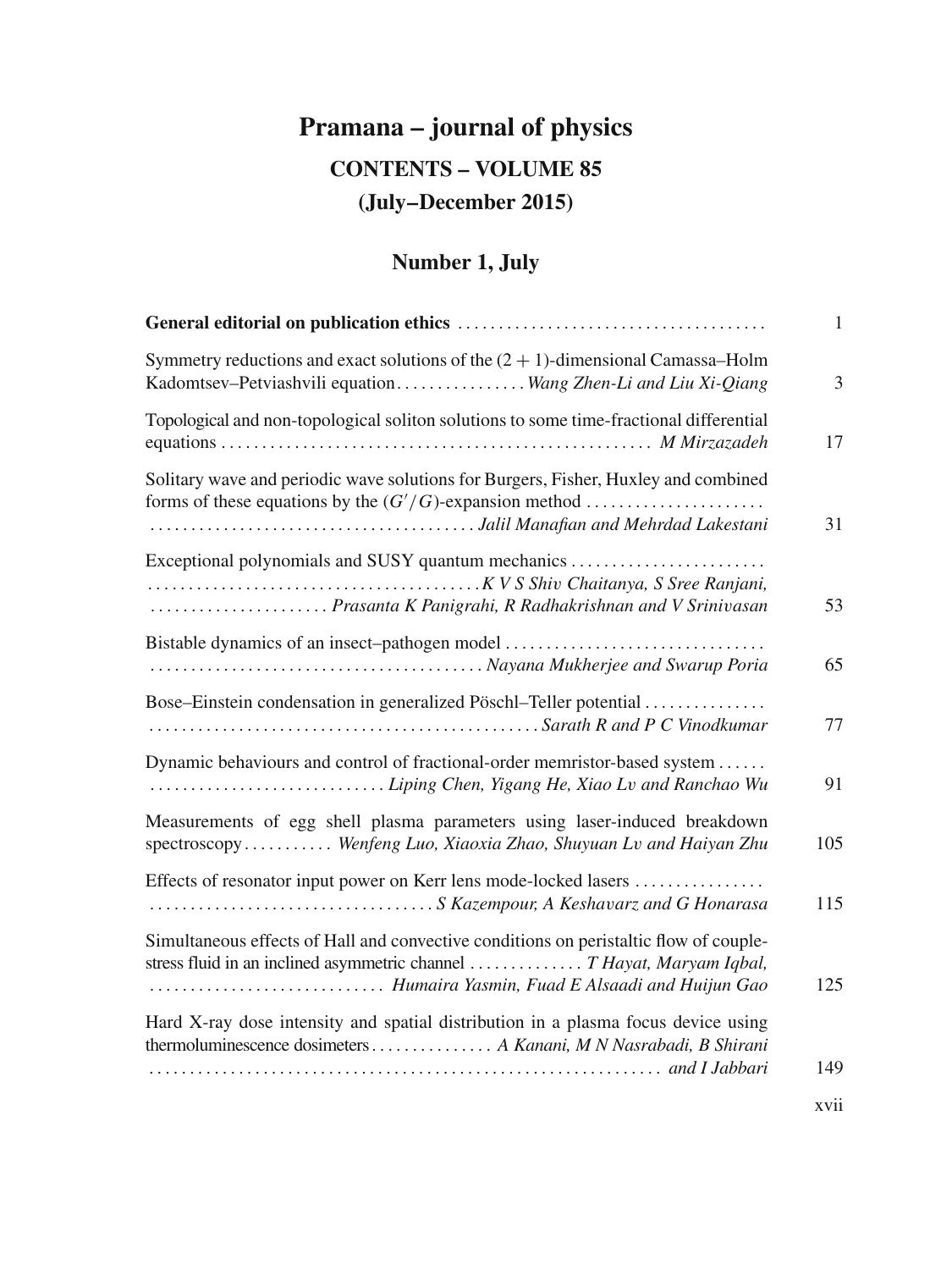# **Pramana – journal of physics CONTENTS – VOLUME 85 (July–December 2015)**

## **Number 1, July**

|                                                                                                                                                                                                                  | $\mathbf{1}$ |
|------------------------------------------------------------------------------------------------------------------------------------------------------------------------------------------------------------------|--------------|
| Symmetry reductions and exact solutions of the $(2 + 1)$ -dimensional Camassa–Holm<br>Kadomtsev-Petviashvili equationWang Zhen-Li and Liu Xi-Qiang                                                               | 3            |
| Topological and non-topological soliton solutions to some time-fractional differential                                                                                                                           | 17           |
| Solitary wave and periodic wave solutions for Burgers, Fisher, Huxley and combined                                                                                                                               | 31           |
| Exceptional polynomials and SUSY quantum mechanics<br>Prasanta K Panigrahi, R Radhakrishnan and V Srinivasan                                                                                                     | 53           |
| Bistable dynamics of an insect-pathogen model                                                                                                                                                                    | 65           |
| Bose–Einstein condensation in generalized Pöschl–Teller potential                                                                                                                                                | 77           |
| Dynamic behaviours and control of fractional-order memristor-based system<br>Liping Chen, Yigang He, Xiao Lv and Ranchao Wu                                                                                      | 91           |
| Measurements of egg shell plasma parameters using laser-induced breakdown<br>spectroscopy Wenfeng Luo, Xiaoxia Zhao, Shuyuan Lv and Haiyan Zhu                                                                   | 105          |
| Effects of resonator input power on Kerr lens mode-locked lasers                                                                                                                                                 | 115          |
| Simultaneous effects of Hall and convective conditions on peristaltic flow of couple-<br>stress fluid in an inclined asymmetric channel  T Hayat, Maryam Iqbal,<br>Humaira Yasmin, Fuad E Alsaadi and Huijun Gao | 125          |
| Hard X-ray dose intensity and spatial distribution in a plasma focus device using<br>thermoluminescence dosimeters A Kanani, M N Nasrabadi, B Shirani                                                            |              |
|                                                                                                                                                                                                                  | 149          |
|                                                                                                                                                                                                                  | xvii         |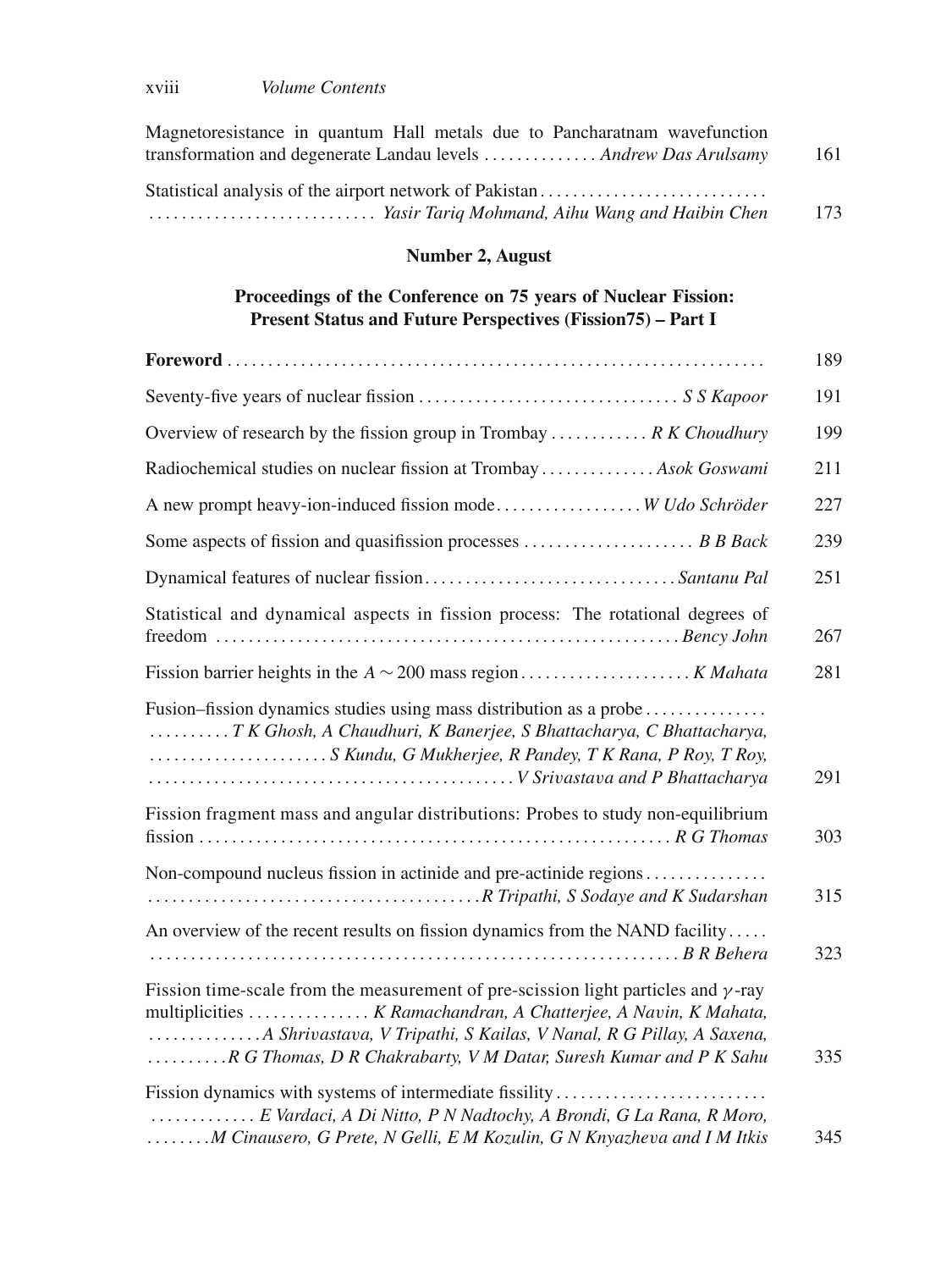| Magnetoresistance in quantum Hall metals due to Pancharatnam wavefunction |     |
|---------------------------------------------------------------------------|-----|
| transformation and degenerate Landau levels  Andrew Das Arulsamy          | 161 |
| Statistical analysis of the airport network of Pakistan                   |     |
|                                                                           | 173 |

#### **Number 2, August**

#### **Proceedings of the Conference on 75 years of Nuclear Fission: Present Status and Future Perspectives (Fission75) – Part I**

|                                                                                                                                                                                                                                    | 189 |
|------------------------------------------------------------------------------------------------------------------------------------------------------------------------------------------------------------------------------------|-----|
|                                                                                                                                                                                                                                    | 191 |
| Overview of research by the fission group in Trombay $R K Choudhury$                                                                                                                                                               | 199 |
| Radiochemical studies on nuclear fission at Trombay  Asok Goswami                                                                                                                                                                  | 211 |
| A new prompt heavy-ion-induced fission mode W Udo Schröder                                                                                                                                                                         | 227 |
|                                                                                                                                                                                                                                    | 239 |
|                                                                                                                                                                                                                                    | 251 |
| Statistical and dynamical aspects in fission process: The rotational degrees of                                                                                                                                                    | 267 |
|                                                                                                                                                                                                                                    | 281 |
| Fusion–fission dynamics studies using mass distribution as a probe<br>T K Ghosh, A Chaudhuri, K Banerjee, S Bhattacharya, C Bhattacharya,<br>S Kundu, G Mukherjee, R Pandey, T K Rana, P Roy, T Roy,                               | 291 |
| Fission fragment mass and angular distributions: Probes to study non-equilibrium                                                                                                                                                   | 303 |
| Non-compound nucleus fission in actinide and pre-actinide regions                                                                                                                                                                  | 315 |
| An overview of the recent results on fission dynamics from the NAND facility                                                                                                                                                       | 323 |
| Fission time-scale from the measurement of pre-scission light particles and $\gamma$ -ray<br>multiplicities  K Ramachandran, A Chatterjee, A Navin, K Mahata,<br>R G Thomas, D R Chakrabarty, V M Datar, Suresh Kumar and P K Sahu | 335 |
| Fission dynamics with systems of intermediate fissility<br>E Vardaci, A Di Nitto, P N Nadtochy, A Brondi, G La Rana, R Moro,<br>M Cinausero, G Prete, N Gelli, E M Kozulin, G N Knyazheva and I M Itkis                            | 345 |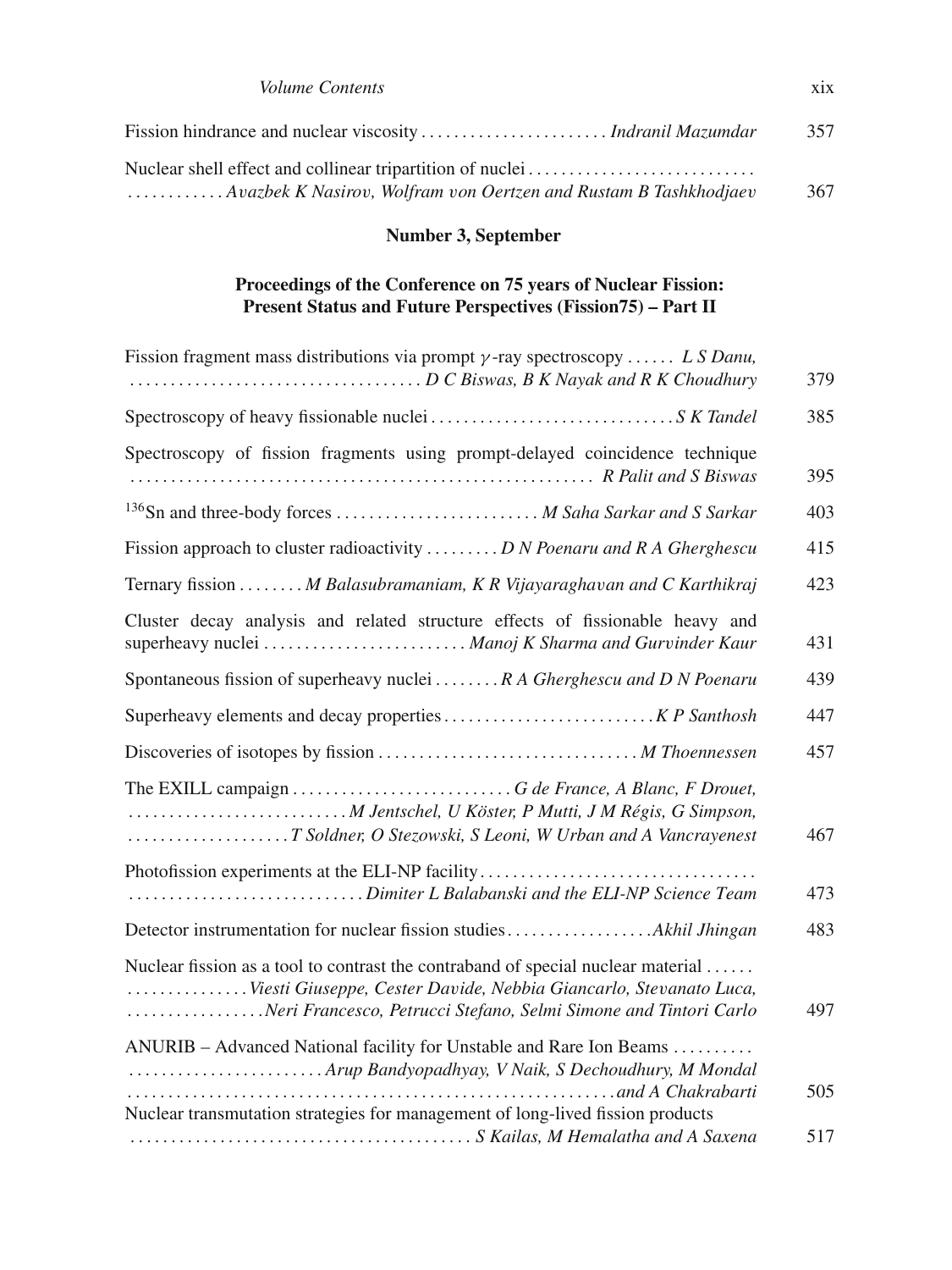| <i>Volume Contents</i> | X1X |
|------------------------|-----|
|------------------------|-----|

|                                                                  | 357 |
|------------------------------------------------------------------|-----|
| Nuclear shell effect and collinear tripartition of nuclei        |     |
| Avazbek K Nasirov, Wolfram von Oertzen and Rustam B Tashkhodjaev | 367 |

## **Number 3, September**

#### **Proceedings of the Conference on 75 years of Nuclear Fission: Present Status and Future Perspectives (Fission75) – Part II**

| Fission fragment mass distributions via prompt $\gamma$ -ray spectroscopy  L S Danu,                                                                                                                                      | 379 |
|---------------------------------------------------------------------------------------------------------------------------------------------------------------------------------------------------------------------------|-----|
|                                                                                                                                                                                                                           | 385 |
| Spectroscopy of fission fragments using prompt-delayed coincidence technique                                                                                                                                              | 395 |
| <sup>136</sup> Sn and three-body forces <i>M Saha Sarkar and S Sarkar</i>                                                                                                                                                 | 403 |
| Fission approach to cluster radioactivity  D N Poenaru and R A Gherghescu                                                                                                                                                 | 415 |
| Ternary fission  M Balasubramaniam, K R Vijayaraghavan and C Karthikraj                                                                                                                                                   | 423 |
| Cluster decay analysis and related structure effects of fissionable heavy and                                                                                                                                             | 431 |
| Spontaneous fission of superheavy nuclei  R A Gherghescu and D N Poenaru                                                                                                                                                  | 439 |
|                                                                                                                                                                                                                           | 447 |
|                                                                                                                                                                                                                           | 457 |
|                                                                                                                                                                                                                           | 467 |
| Photofission experiments at the ELI-NP facility<br>Dimiter L Balabanski and the ELI-NP Science Team                                                                                                                       | 473 |
|                                                                                                                                                                                                                           | 483 |
| Nuclear fission as a tool to contrast the contraband of special nuclear material<br>Viesti Giuseppe, Cester Davide, Nebbia Giancarlo, Stevanato Luca,<br>Neri Francesco, Petrucci Stefano, Selmi Simone and Tintori Carlo | 497 |
| ANURIB – Advanced National facility for Unstable and Rare Ion Beams<br>Arup Bandyopadhyay, V Naik, S Dechoudhury, M Mondal                                                                                                | 505 |
| Nuclear transmutation strategies for management of long-lived fission products                                                                                                                                            | 517 |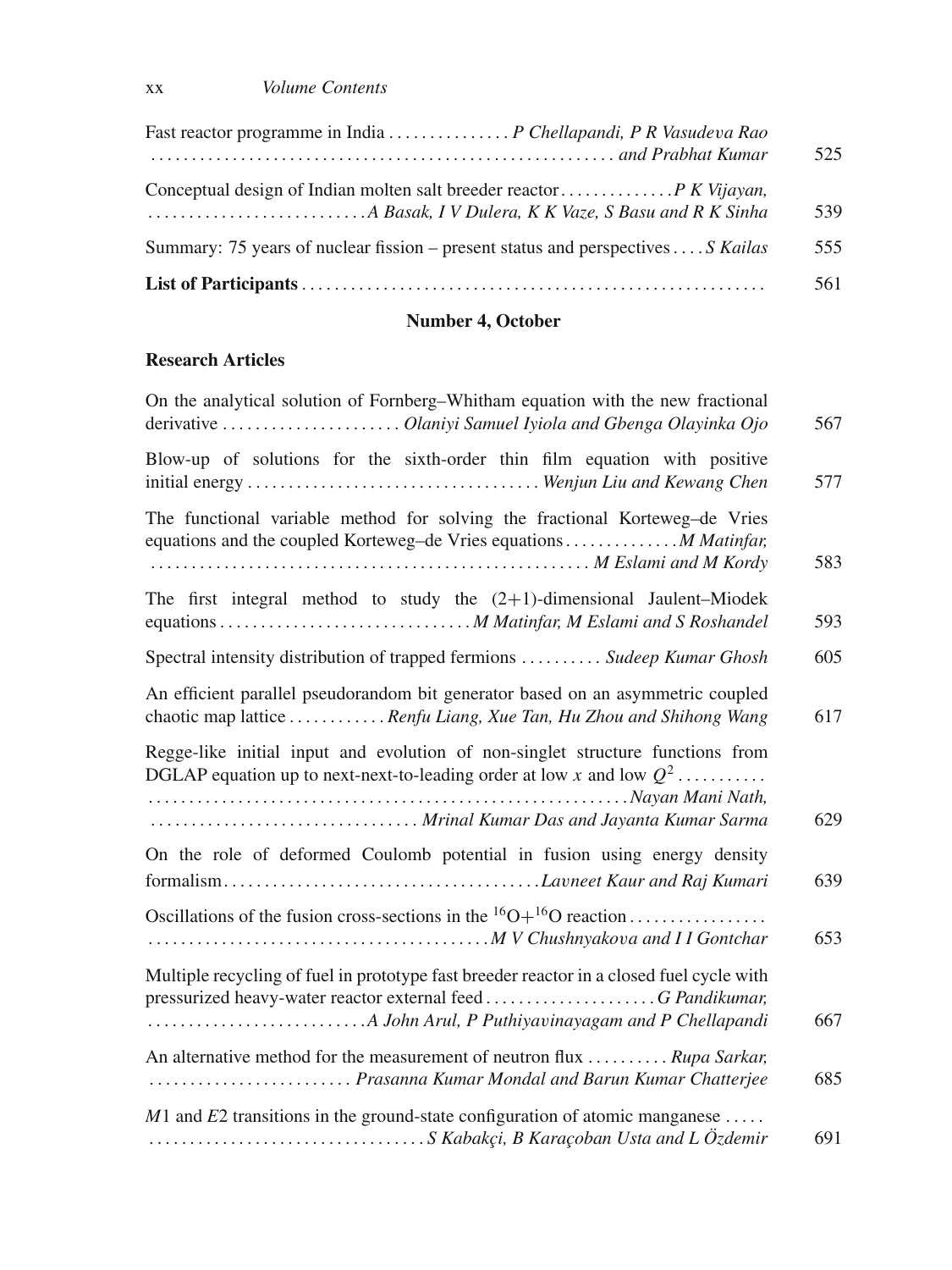| and Prabhat Kumar (and Prabhat Kumar)                                              | 525 |
|------------------------------------------------------------------------------------|-----|
|                                                                                    | 539 |
| Summary: 75 years of nuclear fission – present status and perspectives  . S Kailas | 555 |
|                                                                                    | 561 |

## **Number 4, October**

## **Research Articles**

| On the analytical solution of Fornberg-Whitham equation with the new fractional<br>derivative  Olaniyi Samuel Iyiola and Gbenga Olayinka Ojo                                                         | 567 |
|------------------------------------------------------------------------------------------------------------------------------------------------------------------------------------------------------|-----|
| Blow-up of solutions for the sixth-order thin film equation with positive                                                                                                                            | 577 |
| The functional variable method for solving the fractional Korteweg-de Vries<br>equations and the coupled Korteweg-de Vries equations  M Matinfar,                                                    | 583 |
| The first integral method to study the $(2+1)$ -dimensional Jaulent-Miodek                                                                                                                           | 593 |
| Spectral intensity distribution of trapped fermions  Sudeep Kumar Ghosh                                                                                                                              | 605 |
| An efficient parallel pseudorandom bit generator based on an asymmetric coupled<br>chaotic map lattice  Renfu Liang, Xue Tan, Hu Zhou and Shihong Wang                                               | 617 |
| Regge-like initial input and evolution of non-singlet structure functions from<br>DGLAP equation up to next-next-to-leading order at low x and low $Q^2$<br>Mrinal Kumar Das and Jayanta Kumar Sarma | 629 |
| On the role of deformed Coulomb potential in fusion using energy density                                                                                                                             | 639 |
| Oscillations of the fusion cross-sections in the ${}^{16}O+{}^{16}O$ reaction                                                                                                                        | 653 |
| Multiple recycling of fuel in prototype fast breeder reactor in a closed fuel cycle with                                                                                                             | 667 |
| An alternative method for the measurement of neutron flux  Rupa Sarkar,<br>Prasanna Kumar Mondal and Barun Kumar Chatterjee                                                                          | 685 |
| $M1$ and E2 transitions in the ground-state configuration of atomic manganese                                                                                                                        | 691 |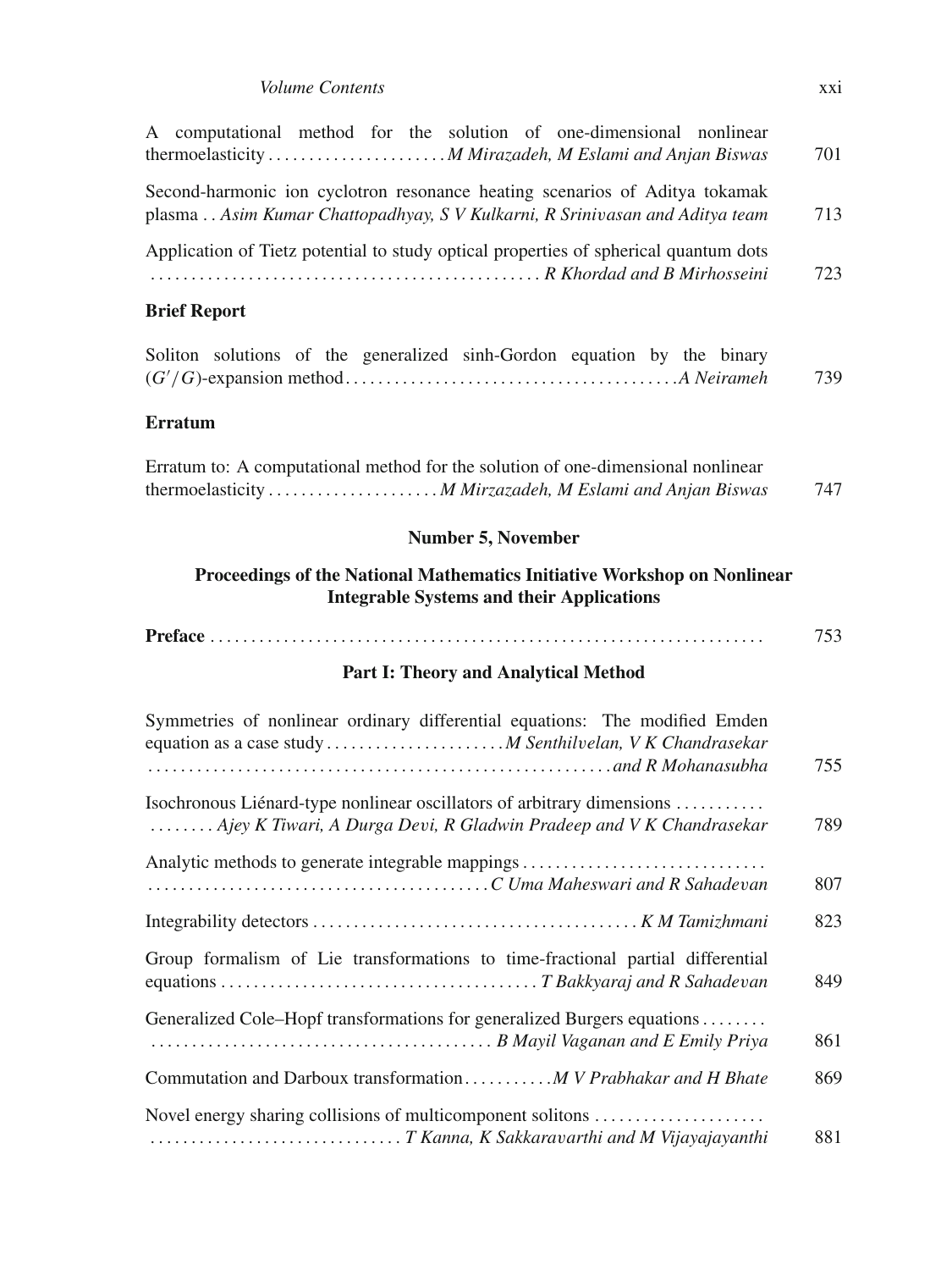#### *Volume Contents* xxi

| A computational method for the solution of one-dimensional nonlinear<br>thermoelasticity  M Mirazadeh, M Eslami and Anjan Biswas                           | 701 |
|------------------------------------------------------------------------------------------------------------------------------------------------------------|-----|
| Second-harmonic ion cyclotron resonance heating scenarios of Aditya tokamak<br>plasma Asim Kumar Chattopadhyay, S V Kulkarni, R Srinivasan and Aditya team | 713 |
| Application of Tietz potential to study optical properties of spherical quantum dots<br>R Khordad and B Mirhosseini                                        | 723 |
| <b>Brief Report</b>                                                                                                                                        |     |
| Soliton solutions of the generalized sinh-Gordon equation by the binary                                                                                    | 739 |
| <b>Erratum</b>                                                                                                                                             |     |
| Erratum to: A computational method for the solution of one-dimensional nonlinear<br>thermoelasticity  M Mirzazadeh, M Eslami and Anjan Biswas              | 747 |
| <b>Number 5, November</b>                                                                                                                                  |     |
| Proceedings of the National Mathematics Initiative Workshop on Nonlinear<br><b>Integrable Systems and their Applications</b>                               |     |
|                                                                                                                                                            | 753 |
| Part I: Theory and Analytical Method                                                                                                                       |     |
| Symmetries of nonlinear ordinary differential equations: The modified Emden<br>equation as a case study  M Senthilvelan, V K Chandrasekar                  | 755 |
| Isochronous Liénard-type nonlinear oscillators of arbitrary dimensions<br>Ajey K Tiwari, A Durga Devi, R Gladwin Pradeep and V K Chandrasekar              | 789 |
| Analytic methods to generate integrable mappings                                                                                                           | 807 |
|                                                                                                                                                            | 823 |
| Group formalism of Lie transformations to time-fractional partial differential                                                                             | 849 |
| Generalized Cole–Hopf transformations for generalized Burgers equations                                                                                    | 861 |
| Commutation and Darboux transformation M V Prabhakar and H Bhate                                                                                           | 869 |
| Novel energy sharing collisions of multicomponent solitons                                                                                                 | 881 |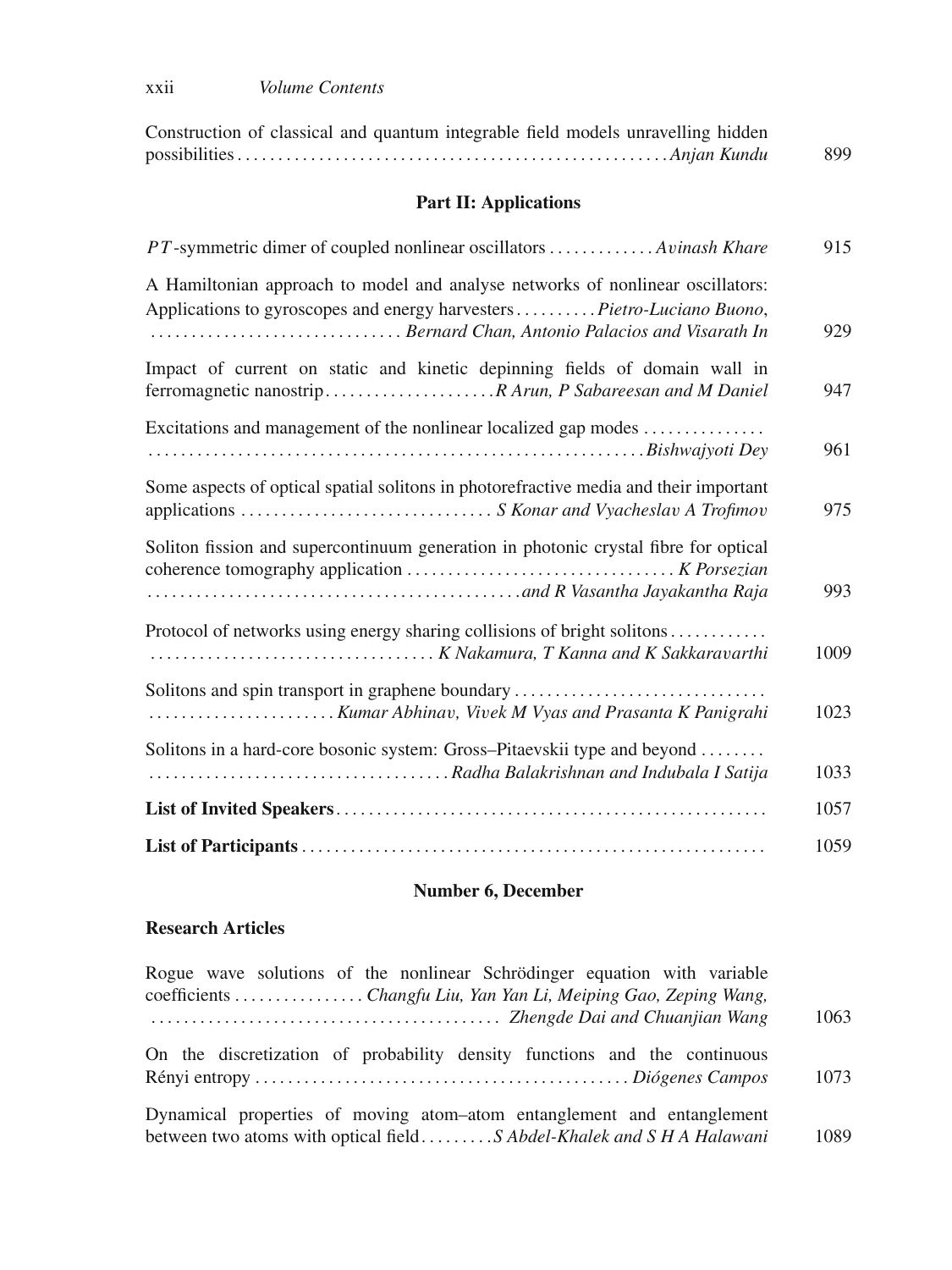| Construction of classical and quantum integrable field models unravelling hidden |     |
|----------------------------------------------------------------------------------|-----|
|                                                                                  | 899 |

## **Part II: Applications**

| PT-symmetric dimer of coupled nonlinear oscillators Avinash Khare                                                                                                                                          | 915  |
|------------------------------------------------------------------------------------------------------------------------------------------------------------------------------------------------------------|------|
| A Hamiltonian approach to model and analyse networks of nonlinear oscillators:<br>Applications to gyroscopes and energy harvesters Pietro-Luciano Buono,<br>Bernard Chan, Antonio Palacios and Visarath In | 929  |
| Impact of current on static and kinetic depinning fields of domain wall in                                                                                                                                 | 947  |
| Excitations and management of the nonlinear localized gap modes                                                                                                                                            | 961  |
| Some aspects of optical spatial solitons in photorefractive media and their important                                                                                                                      | 975  |
| Soliton fission and supercontinuum generation in photonic crystal fibre for optical                                                                                                                        | 993  |
| Protocol of networks using energy sharing collisions of bright solitons                                                                                                                                    | 1009 |
| Solitons and spin transport in graphene boundary                                                                                                                                                           | 1023 |
| Solitons in a hard-core bosonic system: Gross-Pitaevskii type and beyond                                                                                                                                   | 1033 |
|                                                                                                                                                                                                            | 1057 |
|                                                                                                                                                                                                            | 1059 |

## **Number 6, December**

#### **Research Articles**

| Rogue wave solutions of the nonlinear Schrödinger equation with variable                                                                        |      |
|-------------------------------------------------------------------------------------------------------------------------------------------------|------|
| coefficients Changfu Liu, Yan Yan Li, Meiping Gao, Zeping Wang,                                                                                 |      |
|                                                                                                                                                 | 1063 |
| On the discretization of probability density functions and the continuous                                                                       | 1073 |
| Dynamical properties of moving atom-atom entanglement and entanglement<br>between two atoms with optical fieldS Abdel-Khalek and S H A Halawani | 1089 |